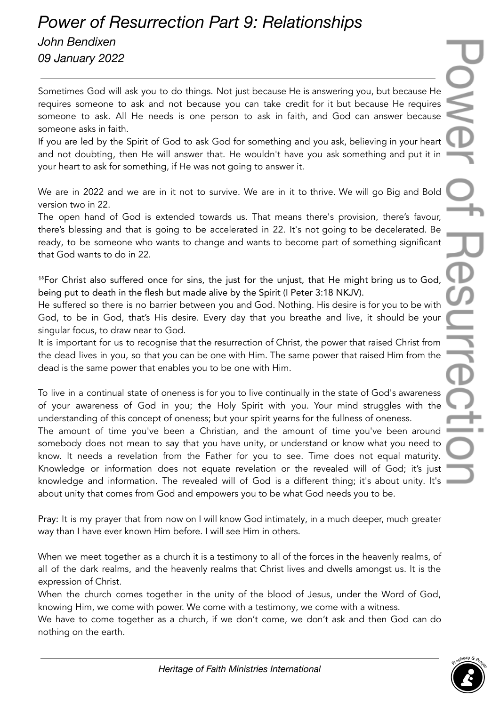## *Power of Resurrection Part 9: Relationships*

*John Bendixen 09 January 2022*

Sometimes God will ask you to do things. Not just because He is answering you, but because He requires someone to ask and not because you can take credit for it but because He requires someone to ask. All He needs is one person to ask in faith, and God can answer because someone asks in faith.

If you are led by the Spirit of God to ask God for something and you ask, believing in your heart and not doubting, then He will answer that. He wouldn't have you ask something and put it in your heart to ask for something, if He was not going to answer it.

We are in 2022 and we are in it not to survive. We are in it to thrive. We will go Big and Bold version two in 22.

The open hand of God is extended towards us. That means there's provision, there's favour, there's blessing and that is going to be accelerated in 22. It's not going to be decelerated. Be ready, to be someone who wants to change and wants to become part of something significant that God wants to do in 22.

<sup>18</sup>For Christ also suffered once for sins, the just for the unjust, that He might bring us to God, being put to death in the flesh but made alive by the Spirit (I Peter 3:18 NKJV).

He suffered so there is no barrier between you and God. Nothing. His desire is for you to be with God, to be in God, that's His desire. Every day that you breathe and live, it should be your singular focus, to draw near to God.

It is important for us to recognise that the resurrection of Christ, the power that raised Christ from the dead lives in you, so that you can be one with Him. The same power that raised Him from the dead is the same power that enables you to be one with Him.

To live in a continual state of oneness is for you to live continually in the state of God's awareness of your awareness of God in you; the Holy Spirit with you. Your mind struggles with the understanding of this concept of oneness; but your spirit yearns for the fullness of oneness.

The amount of time you've been a Christian, and the amount of time you've been around somebody does not mean to say that you have unity, or understand or know what you need to know. It needs a revelation from the Father for you to see. Time does not equal maturity. Knowledge or information does not equate revelation or the revealed will of God; it's just knowledge and information. The revealed will of God is a different thing; it's about unity. It's about unity that comes from God and empowers you to be what God needs you to be.

Pray: It is my prayer that from now on I will know God intimately, in a much deeper, much greater way than I have ever known Him before. I will see Him in others.

When we meet together as a church it is a testimony to all of the forces in the heavenly realms, of all of the dark realms, and the heavenly realms that Christ lives and dwells amongst us. It is the expression of Christ.

When the church comes together in the unity of the blood of Jesus, under the Word of God, knowing Him, we come with power. We come with a testimony, we come with a witness.

We have to come together as a church, if we don't come, we don't ask and then God can do nothing on the earth.